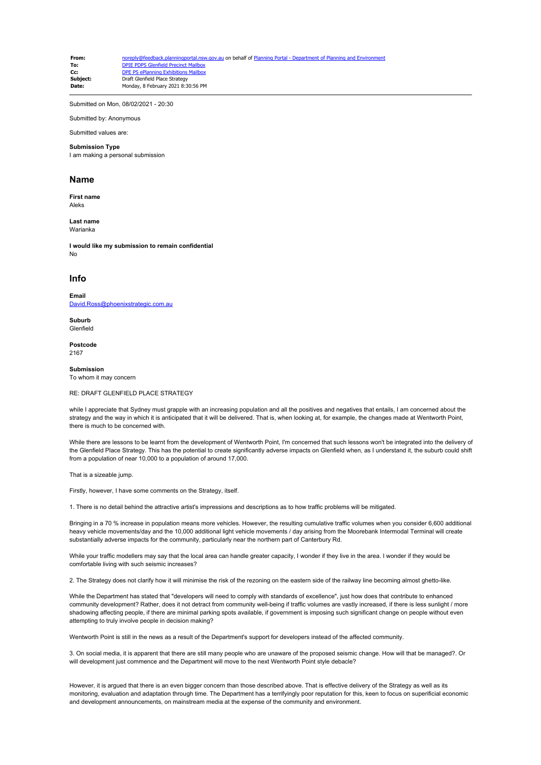**From:** [noreply@feedback.planningportal.nsw.gov.au](mailto:noreply@feedback.planningportal.nsw.gov.au) on behalf of Planning Portal - Department of Planning and En **To:** [DPIE PDPS Glenfield Precinct Mailbox](mailto:glenfield.precinct@planning.nsw.gov.au)<br> **CC:** DPF PS ePlanning Exhibitions Mailbox **Cc:** [DPE PS ePlanning Exhibitions Mailbox](mailto:eplanning.exhibitions@planning.nsw.gov.au)<br> **Subject:** Draft Glenfield Place Strategy **Subject:** Draft Glenfield Place Strategy<br>
Date: Monday, 8 February 2021 8:3 **Date:** Monday, 8 February 2021 8:30:56 PM

Submitted on Mon, 08/02/2021 - 20:30

Submitted by: Anonymous

Submitted values are:

## **Submission Type**

I am making a personal submission

## **Name**

**First name** Aleks

**Last name** Warianka

**I would like my submission to remain confidential** No

## **Info**

**Email** [David.Ross@phoenixstrategic.com.au](mailto:David.Ross@phoenixstrategic.com.au)

**Suburb** Glenfield

**Postcode** 2167

**Submission** To whom it may concern

RE: DRAFT GLENFIELD PLACE STRATEGY

while I appreciate that Sydney must grapple with an increasing population and all the positives and negatives that entails, I am concerned about the strategy and the way in which it is anticipated that it will be delivered. That is, when looking at, for example, the changes made at Wentworth Point, there is much to be concerned with.

While there are lessons to be learnt from the development of Wentworth Point, I'm concerned that such lessons won't be integrated into the delivery of the Glenfield Place Strategy. This has the potential to create significantly adverse impacts on Glenfield when, as I understand it, the suburb could shift from a population of near 10,000 to a population of around 17,000.

That is a sizeable jump.

Firstly, however, I have some comments on the Strategy, itself.

1. There is no detail behind the attractive artist's impressions and descriptions as to how traffic problems will be mitigated.

Bringing in a 70 % increase in population means more vehicles. However, the resulting cumulative traffic volumes when you consider 6,600 additional heavy vehicle movements/day and the 10,000 additional light vehicle movements / day arising from the Moorebank Intermodal Terminal will create substantially adverse impacts for the community, particularly near the northern part of Canterbury Rd.

While your traffic modellers may say that the local area can handle greater capacity, I wonder if they live in the area. I wonder if they would be comfortable living with such seismic increases?

2. The Strategy does not clarify how it will minimise the risk of the rezoning on the eastern side of the railway line becoming almost ghetto-like.

While the Department has stated that "developers will need to comply with standards of excellence", just how does that contribute to enhanced community development? Rather, does it not detract from community well-being if traffic volumes are vastly increased, if there is less sunlight / more shadowing affecting people, if there are minimal parking spots available, if government is imposing such significant change on people without even attempting to truly involve people in decision making?

Wentworth Point is still in the news as a result of the Department's support for developers instead of the affected community.

3. On social media, it is apparent that there are still many people who are unaware of the proposed seismic change. How will that be managed?. Or will development just commence and the Department will move to the next Wentworth Point style debacle?

However, it is argued that there is an even bigger concern than those described above. That is effective delivery of the Strategy as well as its monitoring, evaluation and adaptation through time. The Department has a terrifyingly poor reputation for this, keen to focus on superificial economic and development announcements, on mainstream media at the expense of the community and environment.